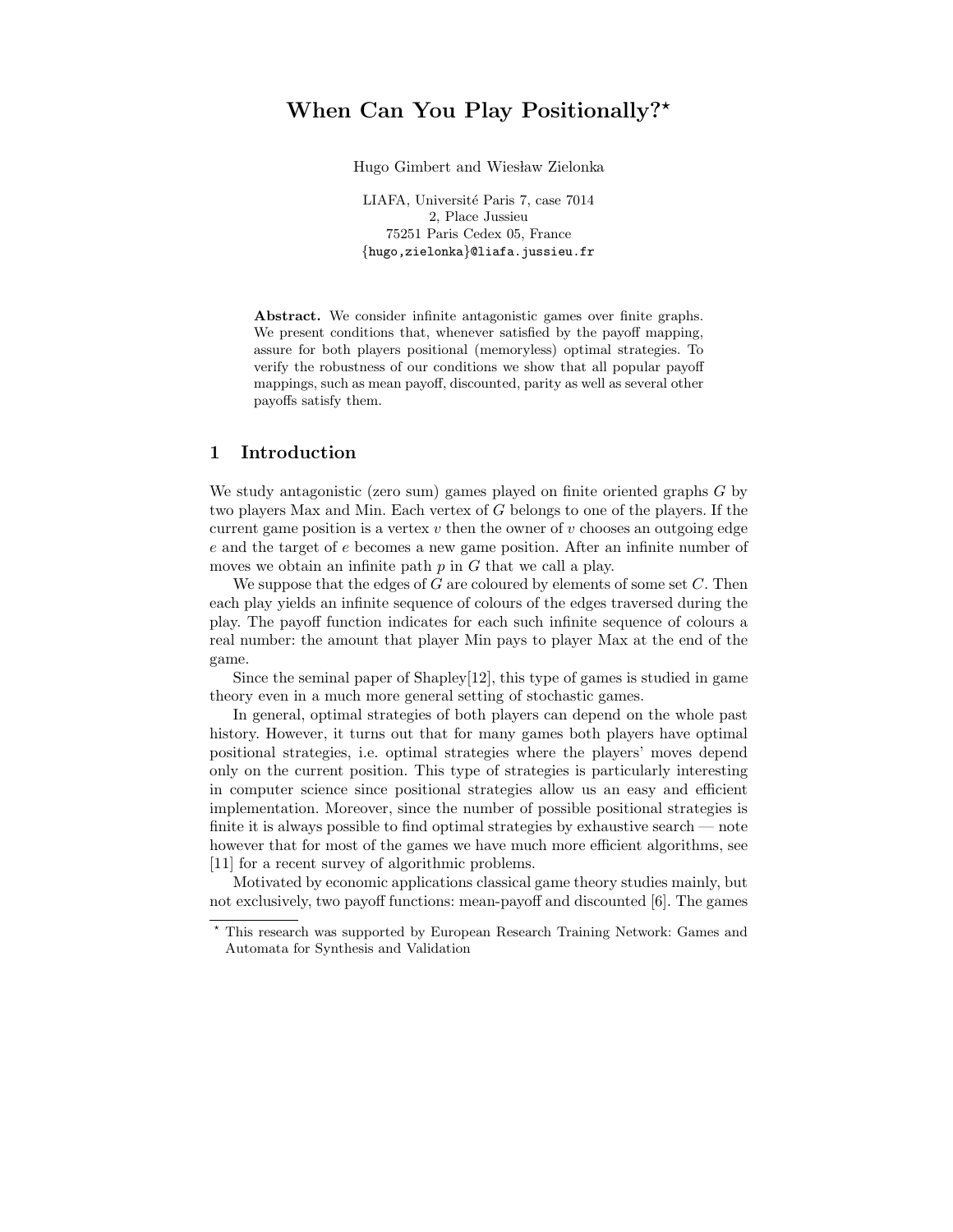# When Can You Play Positionally?<sup>\*</sup>

Hugo Gimbert and Wiesław Zielonka

LIAFA, Université Paris 7, case 7014 2, Place Jussieu 75251 Paris Cedex 05, France {hugo,zielonka}@liafa.jussieu.fr

Abstract. We consider infinite antagonistic games over finite graphs. We present conditions that, whenever satisfied by the payoff mapping, assure for both players positional (memoryless) optimal strategies. To verify the robustness of our conditions we show that all popular payoff mappings, such as mean payoff, discounted, parity as well as several other payoffs satisfy them.

## 1 Introduction

We study antagonistic (zero sum) games played on finite oriented graphs G by two players Max and Min. Each vertex of G belongs to one of the players. If the current game position is a vertex  $v$  then the owner of  $v$  chooses an outgoing edge e and the target of e becomes a new game position. After an infinite number of moves we obtain an infinite path  $p$  in  $G$  that we call a play.

We suppose that the edges of G are coloured by elements of some set  $C$ . Then each play yields an infinite sequence of colours of the edges traversed during the play. The payoff function indicates for each such infinite sequence of colours a real number: the amount that player Min pays to player Max at the end of the game.

Since the seminal paper of Shapley[12], this type of games is studied in game theory even in a much more general setting of stochastic games.

In general, optimal strategies of both players can depend on the whole past history. However, it turns out that for many games both players have optimal positional strategies, i.e. optimal strategies where the players' moves depend only on the current position. This type of strategies is particularly interesting in computer science since positional strategies allow us an easy and efficient implementation. Moreover, since the number of possible positional strategies is finite it is always possible to find optimal strategies by exhaustive search — note however that for most of the games we have much more efficient algorithms, see [11] for a recent survey of algorithmic problems.

Motivated by economic applications classical game theory studies mainly, but not exclusively, two payoff functions: mean-payoff and discounted [6]. The games

<sup>⋆</sup> This research was supported by European Research Training Network: Games and Automata for Synthesis and Validation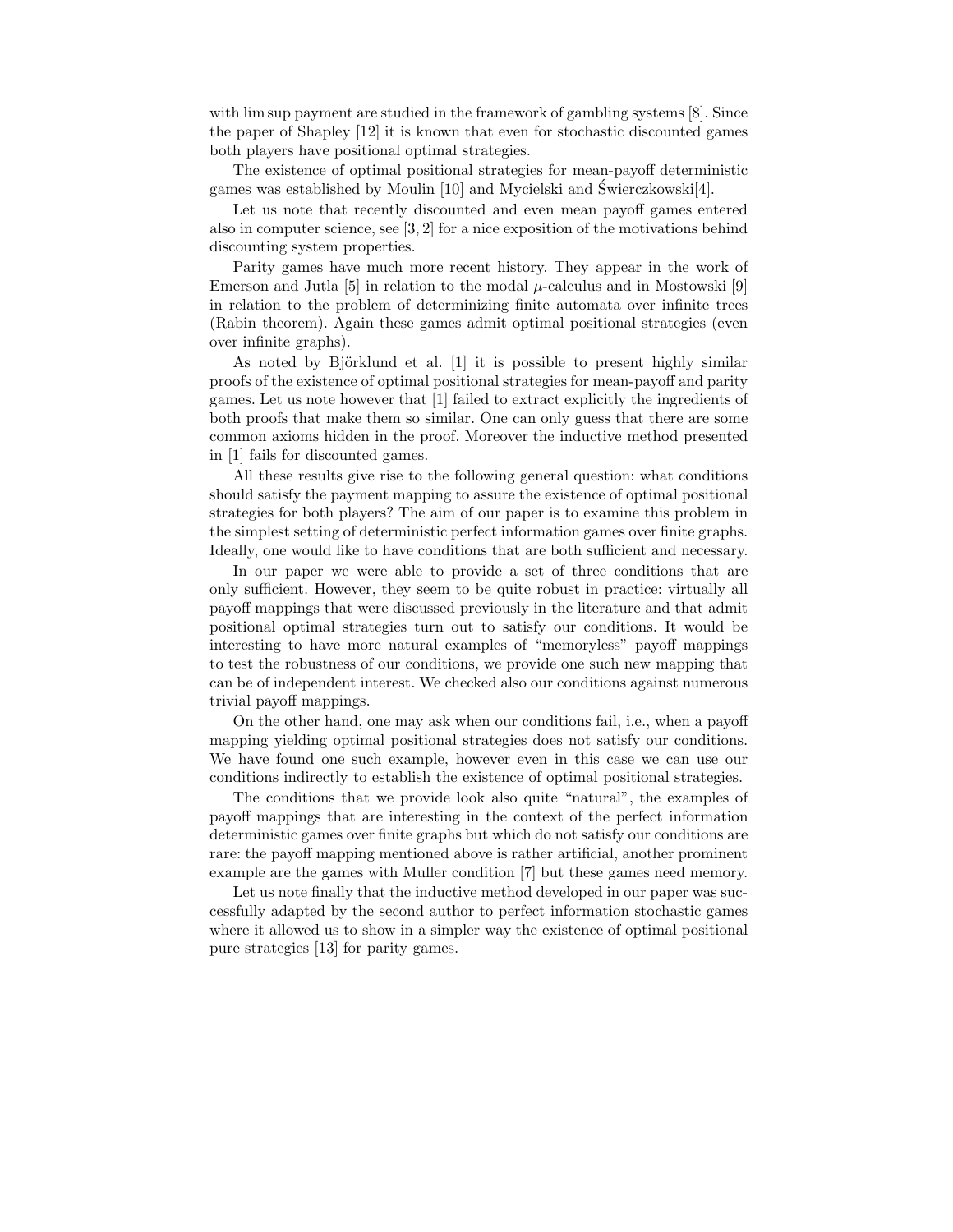with limsup payment are studied in the framework of gambling systems [8]. Since the paper of Shapley [12] it is known that even for stochastic discounted games both players have positional optimal strategies.

The existence of optimal positional strategies for mean-payoff deterministic games was established by Moulin [10] and Mycielski and Swierczkowski[4]. ´

Let us note that recently discounted and even mean payoff games entered also in computer science, see [3, 2] for a nice exposition of the motivations behind discounting system properties.

Parity games have much more recent history. They appear in the work of Emerson and Jutla [5] in relation to the modal  $\mu$ -calculus and in Mostowski [9] in relation to the problem of determinizing finite automata over infinite trees (Rabin theorem). Again these games admit optimal positional strategies (even over infinite graphs).

As noted by Björklund et al.  $[1]$  it is possible to present highly similar proofs of the existence of optimal positional strategies for mean-payoff and parity games. Let us note however that [1] failed to extract explicitly the ingredients of both proofs that make them so similar. One can only guess that there are some common axioms hidden in the proof. Moreover the inductive method presented in [1] fails for discounted games.

All these results give rise to the following general question: what conditions should satisfy the payment mapping to assure the existence of optimal positional strategies for both players? The aim of our paper is to examine this problem in the simplest setting of deterministic perfect information games over finite graphs. Ideally, one would like to have conditions that are both sufficient and necessary.

In our paper we were able to provide a set of three conditions that are only sufficient. However, they seem to be quite robust in practice: virtually all payoff mappings that were discussed previously in the literature and that admit positional optimal strategies turn out to satisfy our conditions. It would be interesting to have more natural examples of "memoryless" payoff mappings to test the robustness of our conditions, we provide one such new mapping that can be of independent interest. We checked also our conditions against numerous trivial payoff mappings.

On the other hand, one may ask when our conditions fail, i.e., when a payoff mapping yielding optimal positional strategies does not satisfy our conditions. We have found one such example, however even in this case we can use our conditions indirectly to establish the existence of optimal positional strategies.

The conditions that we provide look also quite "natural", the examples of payoff mappings that are interesting in the context of the perfect information deterministic games over finite graphs but which do not satisfy our conditions are rare: the payoff mapping mentioned above is rather artificial, another prominent example are the games with Muller condition [7] but these games need memory.

Let us note finally that the inductive method developed in our paper was successfully adapted by the second author to perfect information stochastic games where it allowed us to show in a simpler way the existence of optimal positional pure strategies [13] for parity games.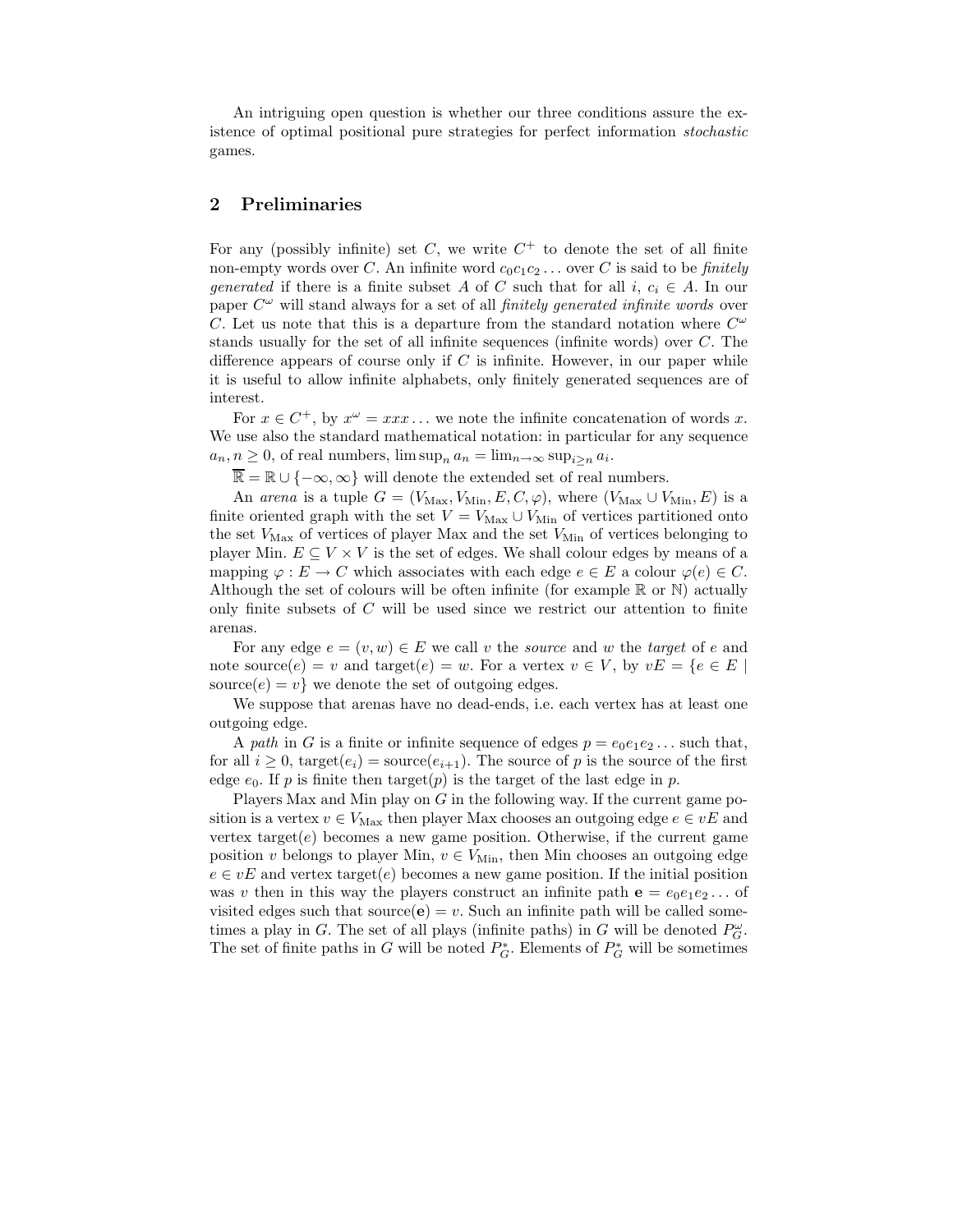An intriguing open question is whether our three conditions assure the existence of optimal positional pure strategies for perfect information stochastic games.

### 2 Preliminaries

For any (possibly infinite) set C, we write  $C^+$  to denote the set of all finite non-empty words over C. An infinite word  $c_0c_1c_2 \ldots$  over C is said to be *finitely* generated if there is a finite subset A of C such that for all i,  $c_i \in A$ . In our paper  $C^{\omega}$  will stand always for a set of all *finitely generated infinite words* over C. Let us note that this is a departure from the standard notation where  $C^{\omega}$ stands usually for the set of all infinite sequences (infinite words) over C. The difference appears of course only if  $C$  is infinite. However, in our paper while it is useful to allow infinite alphabets, only finitely generated sequences are of interest.

For  $x \in C^+$ , by  $x^{\omega} = x x x \dots$  we note the infinite concatenation of words x. We use also the standard mathematical notation: in particular for any sequence  $a_n, n \geq 0$ , of real numbers,  $\limsup_n a_n = \lim_{n \to \infty} \sup_{i \geq n} a_i$ .

 $\overline{\mathbb{R}} = \mathbb{R} \cup \{-\infty, \infty\}$  will denote the extended set of real numbers.

An arena is a tuple  $G = (V_{\text{Max}}, V_{\text{Min}}, E, C, \varphi)$ , where  $(V_{\text{Max}} \cup V_{\text{Min}}, E)$  is a finite oriented graph with the set  $V = V_{\text{Max}} \cup V_{\text{Min}}$  of vertices partitioned onto the set  $V_{\text{Max}}$  of vertices of player Max and the set  $V_{\text{Min}}$  of vertices belonging to player Min.  $E \subseteq V \times V$  is the set of edges. We shall colour edges by means of a mapping  $\varphi : E \to C$  which associates with each edge  $e \in E$  a colour  $\varphi(e) \in C$ . Although the set of colours will be often infinite (for example  $\mathbb R$  or  $\mathbb N$ ) actually only finite subsets of C will be used since we restrict our attention to finite arenas.

For any edge  $e = (v, w) \in E$  we call v the source and w the target of e and note source $(e) = v$  and target $(e) = w$ . For a vertex  $v \in V$ , by  $vE = \{e \in E \mid$ source $(e) = v$  we denote the set of outgoing edges.

We suppose that arenas have no dead-ends, i.e. each vertex has at least one outgoing edge.

A path in G is a finite or infinite sequence of edges  $p = e_0e_1e_2...$  such that, for all  $i \geq 0$ , target $(e_i)$  = source $(e_{i+1})$ . The source of p is the source of the first edge  $e_0$ . If p is finite then target(p) is the target of the last edge in p.

Players Max and Min play on  $G$  in the following way. If the current game position is a vertex  $v \in V_{\text{Max}}$  then player Max chooses an outgoing edge  $e \in vE$  and vertex target $(e)$  becomes a new game position. Otherwise, if the current game position v belongs to player Min,  $v \in V_{\text{Min}}$ , then Min chooses an outgoing edge  $e \in vE$  and vertex target(e) becomes a new game position. If the initial position was v then in this way the players construct an infinite path  $e = e_0e_1e_2...$  of visited edges such that source( $\mathbf{e}$ ) = v. Such an infinite path will be called sometimes a play in G. The set of all plays (infinite paths) in G will be denoted  $P_G^{\omega}$ . The set of finite paths in  $G$  will be noted  $P_G^*$ . Elements of  $P_G^*$  will be sometimes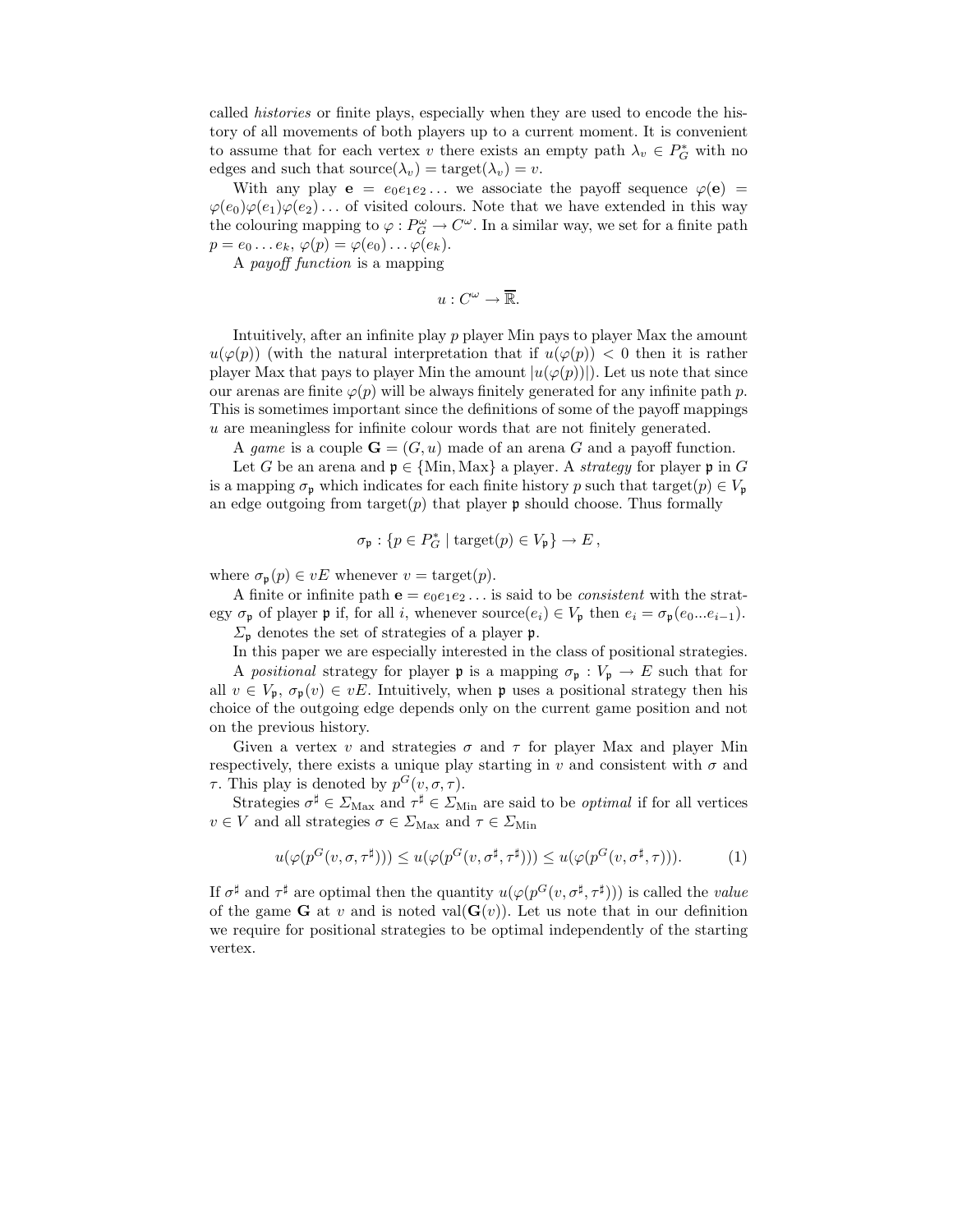called histories or finite plays, especially when they are used to encode the history of all movements of both players up to a current moment. It is convenient to assume that for each vertex v there exists an empty path  $\lambda_v \in P_G^*$  with no edges and such that source $(\lambda_v) = \text{target}(\lambda_v) = v$ .

With any play  $e = e_0e_1e_2...$  we associate the payoff sequence  $\varphi(e)$  $\varphi(e_0)\varphi(e_1)\varphi(e_2) \ldots$  of visited colours. Note that we have extended in this way the colouring mapping to  $\varphi: P_G^{\omega} \to C^{\omega}$ . In a similar way, we set for a finite path  $p = e_0 \dots e_k, \varphi(p) = \varphi(e_0) \dots \varphi(e_k).$ 

A payoff function is a mapping

$$
u:C^{\omega}\to\overline{\mathbb{R}}.
$$

Intuitively, after an infinite play p player Min pays to player Max the amount  $u(\varphi(p))$  (with the natural interpretation that if  $u(\varphi(p)) < 0$  then it is rather player Max that pays to player Min the amount  $|u(\varphi(p))|$ . Let us note that since our arenas are finite  $\varphi(p)$  will be always finitely generated for any infinite path p. This is sometimes important since the definitions of some of the payoff mappings u are meaningless for infinite colour words that are not finitely generated.

A game is a couple  $\mathbf{G} = (G, u)$  made of an arena G and a payoff function.

Let G be an arena and  $\mathfrak{p} \in \{\text{Min}, \text{Max}\}\$ a player. A strategy for player  $\mathfrak{p}$  in G is a mapping  $\sigma_{p}$  which indicates for each finite history p such that target $(p) \in V_{p}$ an edge outgoing from target $(p)$  that player **p** should choose. Thus formally

$$
\sigma_{\mathfrak{p}}: \{p\in P^*_G\mid \mathrm{target}(p)\in V_{\mathfrak{p}}\}\rightarrow E\,,
$$

where  $\sigma_{\mathfrak{p}}(p) \in vE$  whenever  $v = \text{target}(p)$ .

A finite or infinite path  $e = e_0e_1e_2...$  is said to be *consistent* with the strategy  $\sigma_{\mathfrak{p}}$  of player  $\mathfrak{p}$  if, for all i, whenever source $(e_i) \in V_{\mathfrak{p}}$  then  $e_i = \sigma_{\mathfrak{p}}(e_0...e_{i-1})$ .  $\Sigma_{\mathfrak{p}}$  denotes the set of strategies of a player p.

In this paper we are especially interested in the class of positional strategies.

A positional strategy for player **p** is a mapping  $\sigma_p : V_p \to E$  such that for all  $v \in V_p$ ,  $\sigma_p(v) \in vE$ . Intuitively, when p uses a positional strategy then his choice of the outgoing edge depends only on the current game position and not on the previous history.

Given a vertex v and strategies  $\sigma$  and  $\tau$  for player Max and player Min respectively, there exists a unique play starting in v and consistent with  $\sigma$  and  $\tau$ . This play is denoted by  $p^G(v, \sigma, \tau)$ .

Strategies  $\sigma^{\sharp} \in \Sigma_{\text{Max}}$  and  $\tau^{\sharp} \in \Sigma_{\text{Min}}$  are said to be *optimal* if for all vertices  $v \in V$  and all strategies  $\sigma \in \Sigma_{\text{Max}}$  and  $\tau \in \Sigma_{\text{Min}}$ 

$$
u(\varphi(p^G(v,\sigma,\tau^{\sharp}))) \le u(\varphi(p^G(v,\sigma^{\sharp},\tau^{\sharp}))) \le u(\varphi(p^G(v,\sigma^{\sharp},\tau))). \tag{1}
$$

If  $\sigma^{\sharp}$  and  $\tau^{\sharp}$  are optimal then the quantity  $u(\varphi(p^{G}(v, \sigma^{\sharp}, \tau^{\sharp})))$  is called the value of the game G at v and is noted val $(G(v))$ . Let us note that in our definition we require for positional strategies to be optimal independently of the starting vertex.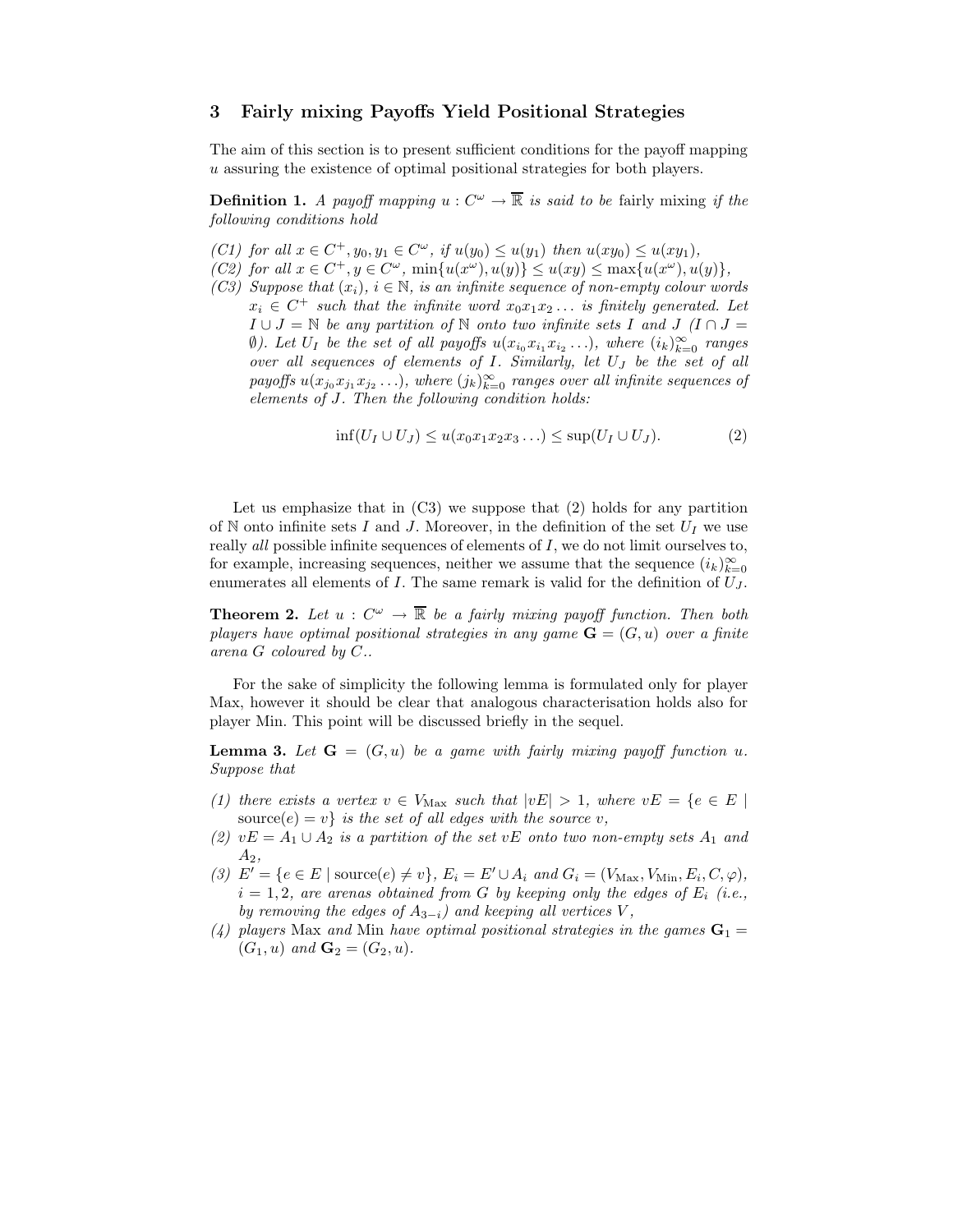#### 3 Fairly mixing Payoffs Yield Positional Strategies

The aim of this section is to present sufficient conditions for the payoff mapping u assuring the existence of optimal positional strategies for both players.

**Definition 1.** A payoff mapping  $u: C^{\omega} \to \overline{\mathbb{R}}$  is said to be fairly mixing if the following conditions hold

- (C1) for all  $x \in C^+, y_0, y_1 \in C^{\omega}$ , if  $u(y_0) \le u(y_1)$  then  $u(xy_0) \le u(xy_1)$ ,
- (C2) for all  $x \in C^+$ ,  $y \in C^{\omega}$ ,  $\min\{u(x^{\omega}), u(y)\} \leq u(xy) \leq \max\{u(x^{\omega}), u(y)\}$ ,
- (C3) Suppose that  $(x_i)$ ,  $i \in \mathbb{N}$ , is an infinite sequence of non-empty colour words  $x_i \in C^+$  such that the infinite word  $x_0x_1x_2...$  is finitely generated. Let  $I \cup J = \mathbb{N}$  be any partition of  $\mathbb N$  onto two infinite sets I and  $J \cap J =$ (b). Let  $U_I$  be the set of all payoffs  $u(x_{i_0}x_{i_1}x_{i_2}...)$ , where  $(i_k)_{k=0}^{\infty}$  ranges over all sequences of elements of I. Similarly, let U<sup>J</sup> be the set of all payoffs  $u(x_{j_0}x_{j_1}x_{j_2}\ldots)$ , where  $(j_k)_{k=0}^{\infty}$  ranges over all infinite sequences of elements of J. Then the following condition holds:

$$
\inf(U_I \cup U_J) \le u(x_0 x_1 x_2 x_3 \dots) \le \sup(U_I \cup U_J). \tag{2}
$$

Let us emphasize that in  $(C3)$  we suppose that  $(2)$  holds for any partition of N onto infinite sets I and J. Moreover, in the definition of the set  $U_I$  we use really all possible infinite sequences of elements of I, we do not limit ourselves to, for example, increasing sequences, neither we assume that the sequence  $(i_k)_{k=0}^{\infty}$ enumerates all elements of  $I$ . The same remark is valid for the definition of  $U_J$ .

**Theorem 2.** Let  $u: C^{\omega} \to \overline{\mathbb{R}}$  be a fairly mixing payoff function. Then both players have optimal positional strategies in any game  $\mathbf{G} = (G, u)$  over a finite arena G coloured by C..

For the sake of simplicity the following lemma is formulated only for player Max, however it should be clear that analogous characterisation holds also for player Min. This point will be discussed briefly in the sequel.

**Lemma 3.** Let  $G = (G, u)$  be a game with fairly mixing payoff function u. Suppose that

- (1) there exists a vertex  $v \in V_{\text{Max}}$  such that  $|vE| > 1$ , where  $vE = \{e \in E \mid$ source(e) = v} is the set of all edges with the source v,
- (2)  $vE = A_1 \cup A_2$  is a partition of the set  $vE$  onto two non-empty sets  $A_1$  and  $A_2,$
- (3)  $E' = \{e \in E \mid \text{source}(e) \neq v\}, E_i = E' \cup A_i \text{ and } G_i = (V_{\text{Max}}, V_{\text{Min}}, E_i, C, \varphi),$  $i = 1, 2$ , are arenas obtained from G by keeping only the edges of  $E_i$  (i.e., by removing the edges of  $A_{3-i}$ ) and keeping all vertices V,
- (4) players Max and Min have optimal positional strategies in the games  $G_1 =$  $(G_1, u)$  and  $G_2 = (G_2, u)$ .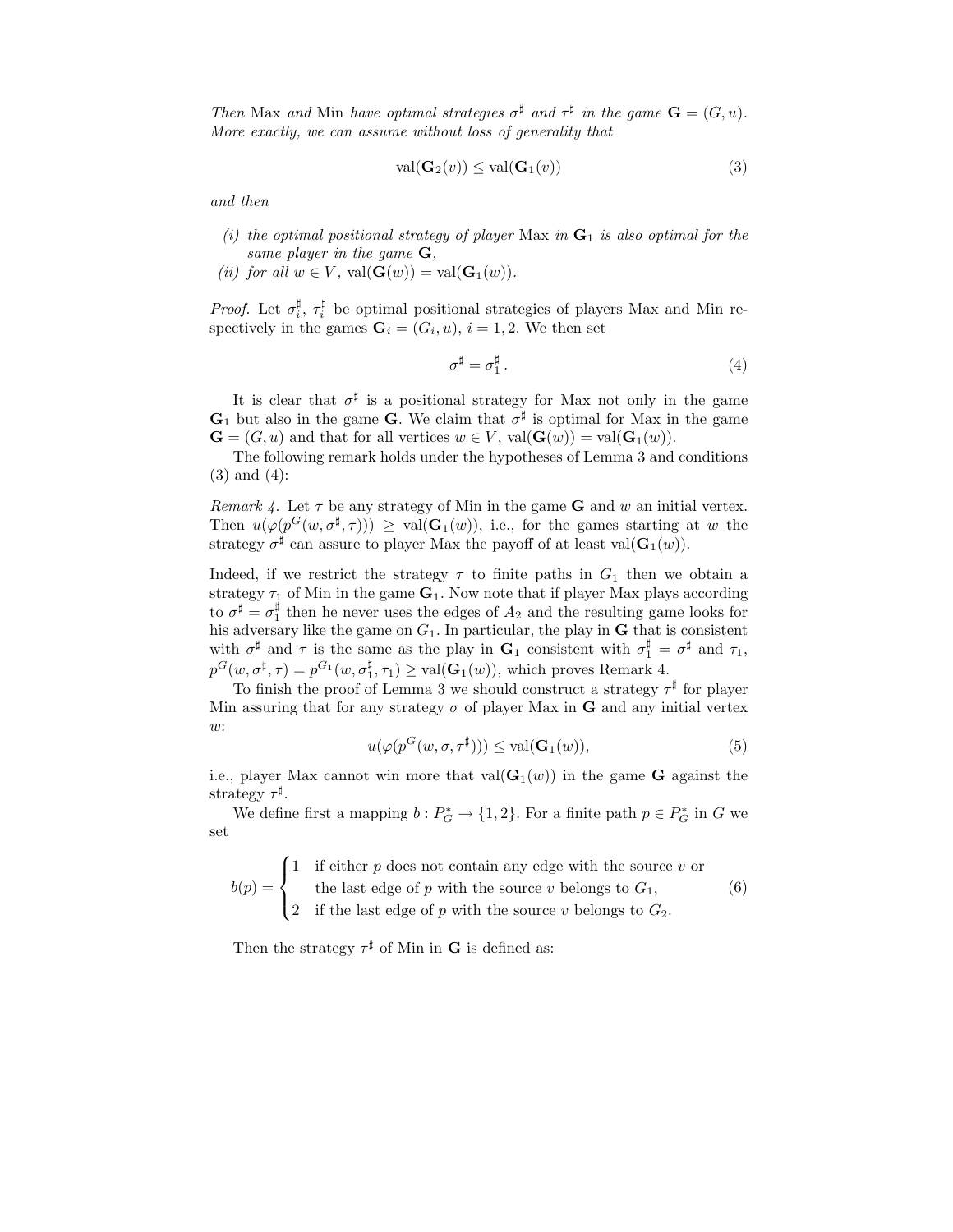Then Max and Min have optimal strategies  $\sigma^{\sharp}$  and  $\tau^{\sharp}$  in the game  $\mathbf{G} = (G, u)$ . More exactly, we can assume without loss of generality that

$$
\text{val}(\mathbf{G}_2(v)) \le \text{val}(\mathbf{G}_1(v))\tag{3}
$$

and then

- (i) the optimal positional strategy of player Max in  $G_1$  is also optimal for the same player in the game  $G$ ,
- (ii) for all  $w \in V$ ,  $val(\mathbf{G}(w)) = val(\mathbf{G}_1(w))$ .

*Proof.* Let  $\sigma_i^{\sharp}$ ,  $\tau_i^{\sharp}$  be optimal positional strategies of players Max and Min respectively in the games  $G_i = (G_i, u), i = 1, 2$ . We then set

$$
\sigma^{\sharp} = \sigma_1^{\sharp} \,. \tag{4}
$$

It is clear that  $\sigma^{\sharp}$  is a positional strategy for Max not only in the game  $G_1$  but also in the game G. We claim that  $\sigma^{\sharp}$  is optimal for Max in the game  $\mathbf{G} = (G, u)$  and that for all vertices  $w \in V$ ,  $val(\mathbf{G}(w)) = val(\mathbf{G}_1(w))$ .

The following remark holds under the hypotheses of Lemma 3 and conditions (3) and (4):

Remark 4. Let  $\tau$  be any strategy of Min in the game **G** and w an initial vertex. Then  $u(\varphi(p^G(w, \sigma^{\sharp}, \tau))) \geq \text{val}(\mathbf{G}_1(w)),$  i.e., for the games starting at w the strategy  $\sigma^{\sharp}$  can assure to player Max the payoff of at least val $(\mathbf{G}_{1}(w))$ .

Indeed, if we restrict the strategy  $\tau$  to finite paths in  $G_1$  then we obtain a strategy  $\tau_1$  of Min in the game  $G_1$ . Now note that if player Max plays according to  $\sigma^{\sharp} = \sigma_1^{\sharp}$  then he never uses the edges of  $A_2$  and the resulting game looks for his adversary like the game on  $G_1$ . In particular, the play in **G** that is consistent with  $\sigma^{\sharp}$  and  $\tau$  is the same as the play in  $\mathbf{G}_1$  consistent with  $\sigma_1^{\sharp} = \sigma^{\sharp}$  and  $\tau_1$ ,  $p^G(w, \sigma^{\sharp}, \tau) = p^{G_1}(w, \sigma_1^{\sharp}, \tau_1) \geq \text{val}(\mathbf{G}_1(w)),$  which proves Remark 4.

To finish the proof of Lemma 3 we should construct a strategy  $\tau^{\sharp}$  for player Min assuring that for any strategy  $\sigma$  of player Max in **G** and any initial vertex w:

$$
u(\varphi(p^{G}(w,\sigma,\tau^{\sharp}))) \le \text{val}(\mathbf{G}_1(w)),\tag{5}
$$

i.e., player Max cannot win more that  $val(G_1(w))$  in the game G against the strategy  $\tau^{\sharp}$ .

We define first a mapping  $b: P_G^* \to \{1,2\}$ . For a finite path  $p \in P_G^*$  in G we set

 $b(p) =$  $\sqrt{ }$  $\int$  $\overline{\mathcal{L}}$ 1 if either  $p$  does not contain any edge with the source  $v$  or the last edge of  $p$  with the source  $v$  belongs to  $G_1$ , 2 if the last edge of p with the source v belongs to  $G_2$ . (6)

Then the strategy  $\tau^{\sharp}$  of Min in **G** is defined as: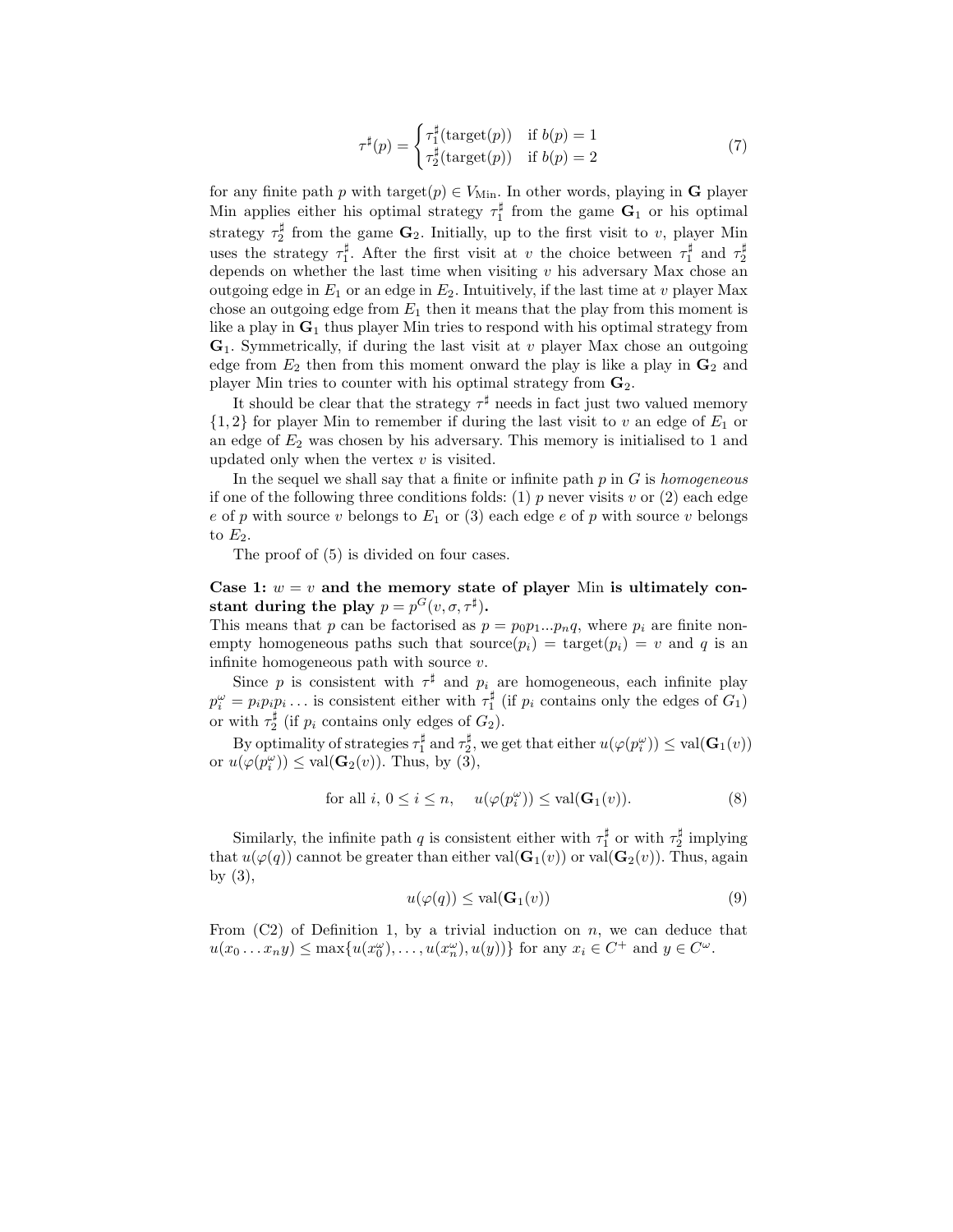$$
\tau^{\sharp}(p) = \begin{cases} \tau_1^{\sharp}(\text{target}(p)) & \text{if } b(p) = 1\\ \tau_2^{\sharp}(\text{target}(p)) & \text{if } b(p) = 2 \end{cases}
$$
\n(7)

for any finite path p with target $(p) \in V_{\text{Min}}$ . In other words, playing in **G** player Min applies either his optimal strategy  $\tau_1^{\sharp}$  from the game  $\mathbf{G}_1$  or his optimal strategy  $\tau_2^{\sharp}$  from the game  $\mathbf{G}_2$ . Initially, up to the first visit to v, player Min uses the strategy  $\tau_1^{\sharp}$ . After the first visit at v the choice between  $\tau_1^{\sharp}$  and  $\tau_2^{\sharp}$ depends on whether the last time when visiting  $v$  his adversary Max chose an outgoing edge in  $E_1$  or an edge in  $E_2$ . Intuitively, if the last time at v player Max chose an outgoing edge from  $E_1$  then it means that the play from this moment is like a play in  $\mathbf{G}_1$  thus player Min tries to respond with his optimal strategy from  $\mathbf{G}_1$ . Symmetrically, if during the last visit at v player Max chose an outgoing edge from  $E_2$  then from this moment onward the play is like a play in  $\mathbf{G}_2$  and player Min tries to counter with his optimal strategy from  $\mathbf{G}_2$ .

It should be clear that the strategy  $\tau^{\sharp}$  needs in fact just two valued memory  $\{1, 2\}$  for player Min to remember if during the last visit to v an edge of  $E_1$  or an edge of  $E_2$  was chosen by his adversary. This memory is initialised to 1 and updated only when the vertex  $v$  is visited.

In the sequel we shall say that a finite or infinite path  $p$  in  $G$  is homogeneous if one of the following three conditions folds: (1) p never visits v or (2) each edge e of p with source v belongs to  $E_1$  or (3) each edge e of p with source v belongs to  $E_2$ .

The proof of (5) is divided on four cases.

Case 1:  $w = v$  and the memory state of player Min is ultimately constant during the play  $p = p^{G}(v, \sigma, \tau^{\sharp}).$ 

This means that p can be factorised as  $p = p_0p_1...p_nq$ , where  $p_i$  are finite nonempty homogeneous paths such that source $(p_i)$  = target $(p_i)$  = v and q is an infinite homogeneous path with source  $v$ .

Since p is consistent with  $\tau^{\sharp}$  and  $p_i$  are homogeneous, each infinite play  $p_i^{\omega} = p_i p_i p_i \dots$  is consistent either with  $\tau_1^{\sharp}$  (if  $p_i$  contains only the edges of  $G_1$ ) or with  $\tau_2^{\sharp}$  (if  $p_i$  contains only edges of  $G_2$ ).

By optimality of strategies  $\tau_1^{\sharp}$  and  $\tau_2^{\sharp}$ , we get that either  $u(\varphi(p_i^{\omega})) \leq \text{val}(\mathbf{G}_1(v))$ or  $u(\varphi(p_i^{\omega})) \leq \text{val}(\mathbf{G}_2(v))$ . Thus, by (3),

$$
\text{for all } i, \, 0 \le i \le n, \quad u(\varphi(p_i^{\omega})) \le \text{val}(\mathbf{G}_1(v)).\tag{8}
$$

Similarly, the infinite path q is consistent either with  $\tau_1^{\sharp}$  or with  $\tau_2^{\sharp}$  implying that  $u(\varphi(q))$  cannot be greater than either val $(\mathbf{G}_1(v))$  or val $(\mathbf{G}_2(v))$ . Thus, again by  $(3)$ ,

$$
u(\varphi(q)) \le \text{val}(\mathbf{G}_1(v))\tag{9}
$$

From  $(C2)$  of Definition 1, by a trivial induction on n, we can deduce that  $u(x_0...x_n y) \le \max\{u(x_0^{\omega}), \ldots, u(x_n^{\omega}), u(y)\}\)$  for any  $x_i \in C^+$  and  $y \in C^{\omega}$ .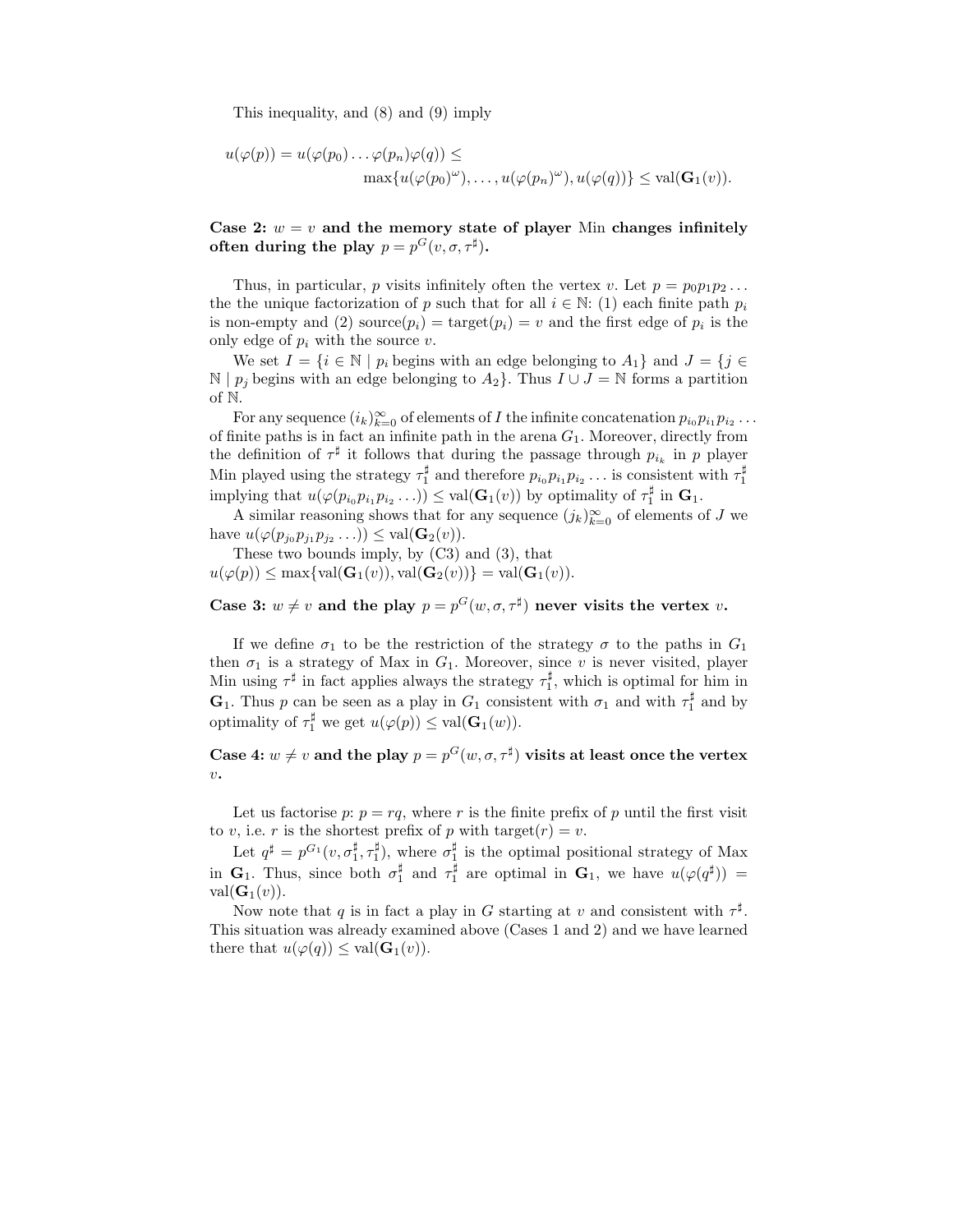This inequality, and (8) and (9) imply

$$
u(\varphi(p)) = u(\varphi(p_0) \dots \varphi(p_n)\varphi(q)) \le
$$
  

$$
\max\{u(\varphi(p_0)^{\omega}), \dots, u(\varphi(p_n)^{\omega}), u(\varphi(q))\} \le \text{val}(\mathbf{G}_1(v)).
$$

Case 2:  $w = v$  and the memory state of player Min changes infinitely often during the play  $p = p^{G}(v, \sigma, \tau^{\sharp}).$ 

Thus, in particular, p visits infinitely often the vertex v. Let  $p = p_0 p_1 p_2 \dots$ the the unique factorization of p such that for all  $i \in \mathbb{N}$ : (1) each finite path  $p_i$ is non-empty and (2) source $(p_i)$  = target $(p_i)$  = v and the first edge of  $p_i$  is the only edge of  $p_i$  with the source  $v$ .

We set  $I = \{i \in \mathbb{N} \mid p_i \text{ begins with an edge belonging to } A_1\}$  and  $J = \{j \in \mathbb{N} \mid p_j \text{ begins with an edge belonging to } A_2\}$ N |  $p_j$  begins with an edge belonging to  $A_2$ }. Thus  $I ∪ J = N$  forms a partition of N.

For any sequence  $(i_k)_{k=0}^{\infty}$  of elements of I the infinite concatenation  $p_{i_0}p_{i_1}p_{i_2}\ldots$ of finite paths is in fact an infinite path in the arena  $G_1$ . Moreover, directly from the definition of  $\tau^{\sharp}$  it follows that during the passage through  $p_{i_k}$  in p player Min played using the strategy  $\tau_1^{\sharp}$  and therefore  $p_{i_0}p_{i_1}p_{i_2} \ldots$  is consistent with  $\tau_1^{\sharp}$ implying that  $u(\varphi(p_{i_0}p_{i_1}p_{i_2} \ldots)) \leq \text{val}(\mathbf{G}_1(v))$  by optimality of  $\tau_1^{\sharp}$  in  $\mathbf{G}_1$ .

A similar reasoning shows that for any sequence  $(j_k)_{k=0}^{\infty}$  of elements of J we have  $u(\varphi(p_{j_0}p_{j_1}p_{j_2}\ldots)) \leq \text{val}(\mathbf{G}_2(v)).$ 

These two bounds imply, by (C3) and (3), that  $u(\varphi(p)) \le \max\{\text{val}(\mathbf{G}_1(v)), \text{val}(\mathbf{G}_2(v))\} = \text{val}(\mathbf{G}_1(v)).$ 

Case 3:  $w \neq v$  and the play  $p = p^{G}(w, \sigma, \tau^{\sharp})$  never visits the vertex v.

If we define  $\sigma_1$  to be the restriction of the strategy  $\sigma$  to the paths in  $G_1$ then  $\sigma_1$  is a strategy of Max in  $G_1$ . Moreover, since v is never visited, player Min using  $\tau^{\sharp}$  in fact applies always the strategy  $\tau_1^{\sharp}$ , which is optimal for him in **G**<sub>1</sub>. Thus p can be seen as a play in  $G_1$  consistent with  $\sigma_1$  and with  $\tau_1^{\sharp}$  and by optimality of  $\tau_1^{\sharp}$  we get  $u(\varphi(p)) \leq \text{val}(\mathbf{G}_1(w)).$ 

Case 4:  $w \neq v$  and the play  $p = p^G(w, \sigma, \tau^{\sharp})$  visits at least once the vertex  $v\boldsymbol{\cdot}$ 

Let us factorise p:  $p = rq$ , where r is the finite prefix of p until the first visit to v, i.e. r is the shortest prefix of p with target $(r) = v$ .

Let  $q^{\sharp} = p^{G_1}(v, \sigma_1^{\sharp}, \tau_1^{\sharp})$ , where  $\sigma_1^{\sharp}$  is the optimal positional strategy of Max in  $\mathbf{G}_1$ . Thus, since both  $\sigma_1^{\sharp}$  and  $\tau_1^{\sharp}$  are optimal in  $\mathbf{G}_1$ , we have  $u(\varphi(q^{\sharp}))$  = val $(\mathbf{G}_1(v))$ .

Now note that q is in fact a play in G starting at v and consistent with  $\tau^{\sharp}$ . This situation was already examined above (Cases 1 and 2) and we have learned there that  $u(\varphi(q)) \leq \text{val}(\mathbf{G}_1(v)).$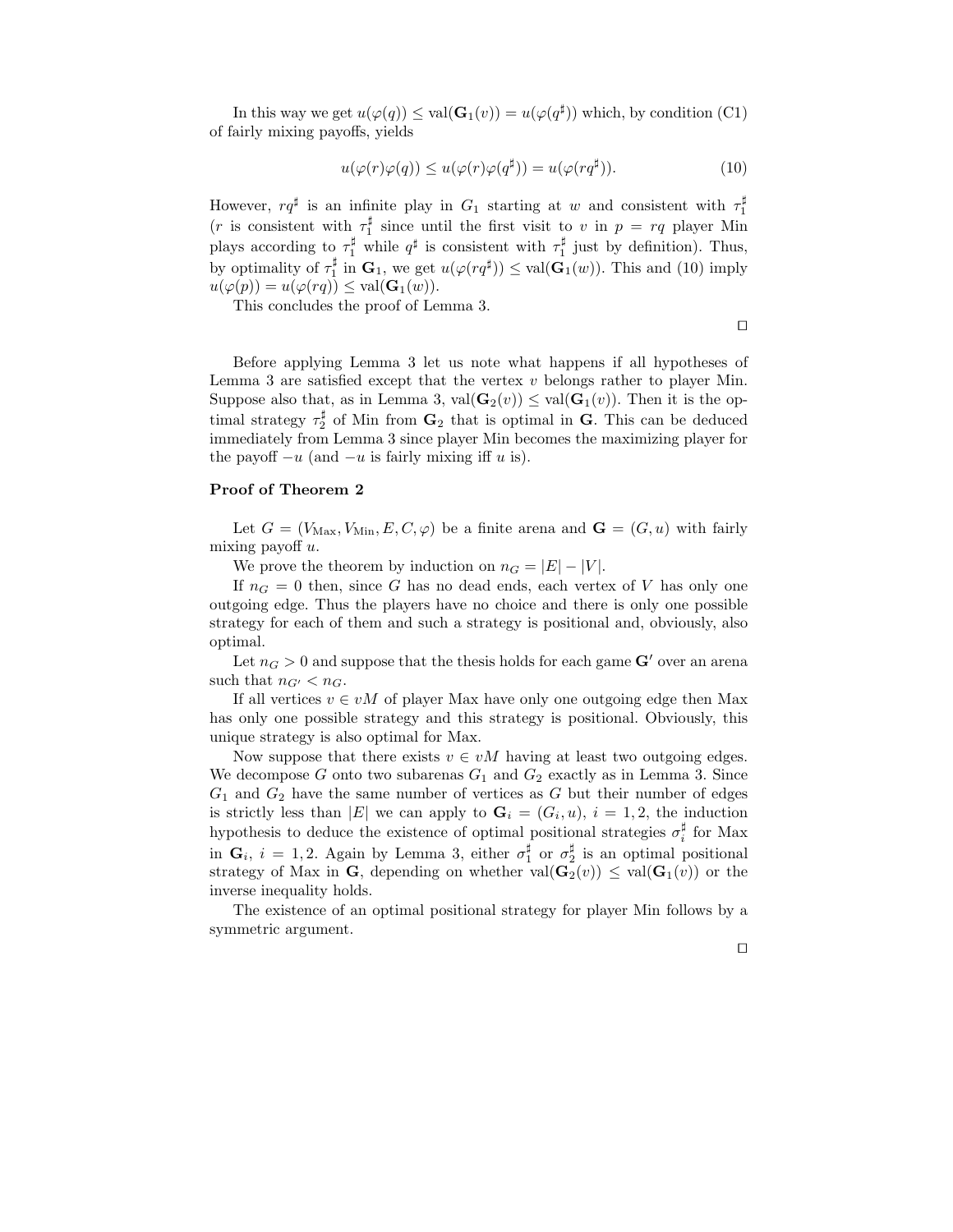In this way we get  $u(\varphi(q)) \leq \text{val}(\mathbf{G}_1(v)) = u(\varphi(q^{\sharp}))$  which, by condition (C1) of fairly mixing payoffs, yields

$$
u(\varphi(r)\varphi(q)) \le u(\varphi(r)\varphi(q^{\sharp})) = u(\varphi(rq^{\sharp})). \tag{10}
$$

However,  $rq^{\sharp}$  is an infinite play in  $G_1$  starting at w and consistent with  $\tau_1^{\sharp}$ (*r* is consistent with  $\tau_1^{\sharp}$  since until the first visit to *v* in  $p = rq$  player Min plays according to  $\tau_1^{\sharp}$  while  $q^{\sharp}$  is consistent with  $\tau_1^{\sharp}$  just by definition). Thus, by optimality of  $\tau_1^{\sharp}$  in  $\mathbf{G}_1$ , we get  $u(\varphi(rq^{\sharp})) \leq \text{val}(\mathbf{G}_1(w))$ . This and (10) imply  $u(\varphi(p)) = u(\varphi(rq)) \leq \text{val}(\mathbf{G}_1(w)).$ 

This concludes the proof of Lemma 3.

⊓⊔

Before applying Lemma 3 let us note what happens if all hypotheses of Lemma 3 are satisfied except that the vertex  $v$  belongs rather to player Min. Suppose also that, as in Lemma 3,  $val(G_2(v)) \le val(G_1(v))$ . Then it is the optimal strategy  $\tau_2^{\sharp}$  of Min from  $\mathbf{G}_2$  that is optimal in  $\mathbf{G}$ . This can be deduced immediately from Lemma 3 since player Min becomes the maximizing player for the payoff  $-u$  (and  $-u$  is fairly mixing iff u is).

#### Proof of Theorem 2

Let  $G = (V_{\text{Max}}, V_{\text{Min}}, E, C, \varphi)$  be a finite arena and  $\mathbf{G} = (G, u)$  with fairly mixing payoff  $u$ .

We prove the theorem by induction on  $n_G = |E| - |V|$ .

If  $n_G = 0$  then, since G has no dead ends, each vertex of V has only one outgoing edge. Thus the players have no choice and there is only one possible strategy for each of them and such a strategy is positional and, obviously, also optimal.

Let  $n_G > 0$  and suppose that the thesis holds for each game  $\mathbf{G}'$  over an arena such that  $n_{G'} < n_G$ .

If all vertices  $v \in vM$  of player Max have only one outgoing edge then Max has only one possible strategy and this strategy is positional. Obviously, this unique strategy is also optimal for Max.

Now suppose that there exists  $v \in vM$  having at least two outgoing edges. We decompose G onto two subarenas  $G_1$  and  $G_2$  exactly as in Lemma 3. Since  $G_1$  and  $G_2$  have the same number of vertices as G but their number of edges is strictly less than |E| we can apply to  $G_i = (G_i, u)$ ,  $i = 1, 2$ , the induction hypothesis to deduce the existence of optimal positional strategies  $\sigma_i^{\sharp}$  for Max in  $\mathbf{G}_i$ ,  $i = 1, 2$ . Again by Lemma 3, either  $\sigma_1^{\sharp}$  or  $\sigma_2^{\sharp}$  is an optimal positional strategy of Max in G, depending on whether  $val(G_2(v)) \le val(G_1(v))$  or the inverse inequality holds.

The existence of an optimal positional strategy for player Min follows by a symmetric argument.

⊓⊔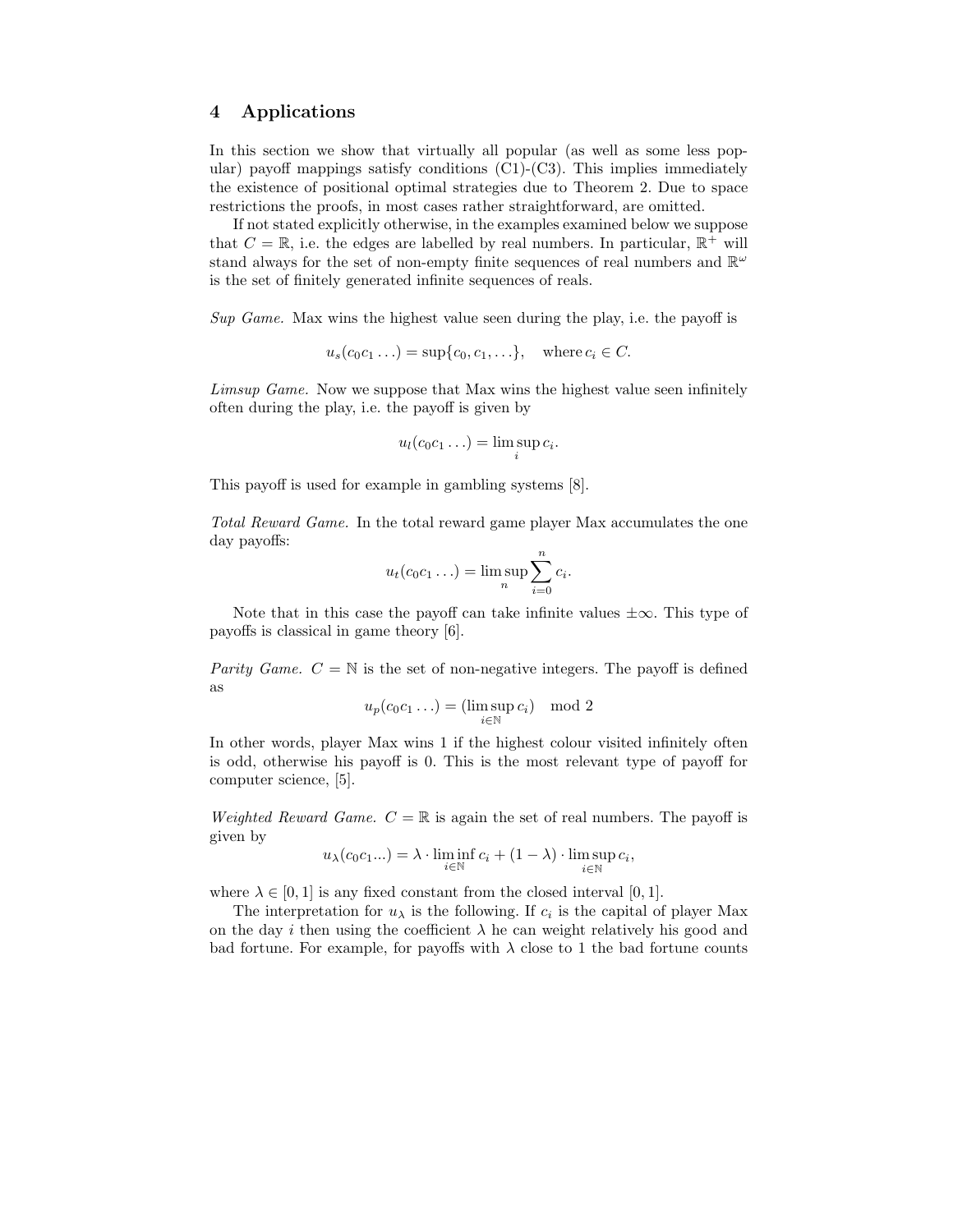### 4 Applications

In this section we show that virtually all popular (as well as some less popular) payoff mappings satisfy conditions (C1)-(C3). This implies immediately the existence of positional optimal strategies due to Theorem 2. Due to space restrictions the proofs, in most cases rather straightforward, are omitted.

If not stated explicitly otherwise, in the examples examined below we suppose that  $C = \mathbb{R}$ , i.e. the edges are labelled by real numbers. In particular,  $\mathbb{R}^+$  will stand always for the set of non-empty finite sequences of real numbers and  $\mathbb{R}^{\omega}$ is the set of finitely generated infinite sequences of reals.

Sup Game. Max wins the highest value seen during the play, i.e. the payoff is

$$
u_s(c_0c_1\ldots) = \sup\{c_0, c_1, \ldots\}, \quad \text{where } c_i \in C.
$$

Limsup Game. Now we suppose that Max wins the highest value seen infinitely often during the play, i.e. the payoff is given by

$$
u_l(c_0c_1\ldots)=\limsup_i c_i.
$$

This payoff is used for example in gambling systems [8].

Total Reward Game. In the total reward game player Max accumulates the one day payoffs:

$$
u_t(c_0c_1\ldots)=\limsup_n\sum_{i=0}^n c_i.
$$

Note that in this case the payoff can take infinite values  $\pm \infty$ . This type of payoffs is classical in game theory [6].

Parity Game.  $C = N$  is the set of non-negative integers. The payoff is defined as

$$
u_p(c_0c_1\ldots) = (\limsup_{i\in\mathbb{N}} c_i) \mod 2
$$

In other words, player Max wins 1 if the highest colour visited infinitely often is odd, otherwise his payoff is 0. This is the most relevant type of payoff for computer science, [5].

Weighted Reward Game.  $C = \mathbb{R}$  is again the set of real numbers. The payoff is given by

$$
u_{\lambda}(c_0c_1...)=\lambda\cdot\liminf_{i\in\mathbb{N}}c_i+(1-\lambda)\cdot\limsup_{i\in\mathbb{N}}c_i,
$$

where  $\lambda \in [0, 1]$  is any fixed constant from the closed interval [0, 1].

The interpretation for  $u_{\lambda}$  is the following. If  $c_i$  is the capital of player Max on the day i then using the coefficient  $\lambda$  he can weight relatively his good and bad fortune. For example, for payoffs with  $\lambda$  close to 1 the bad fortune counts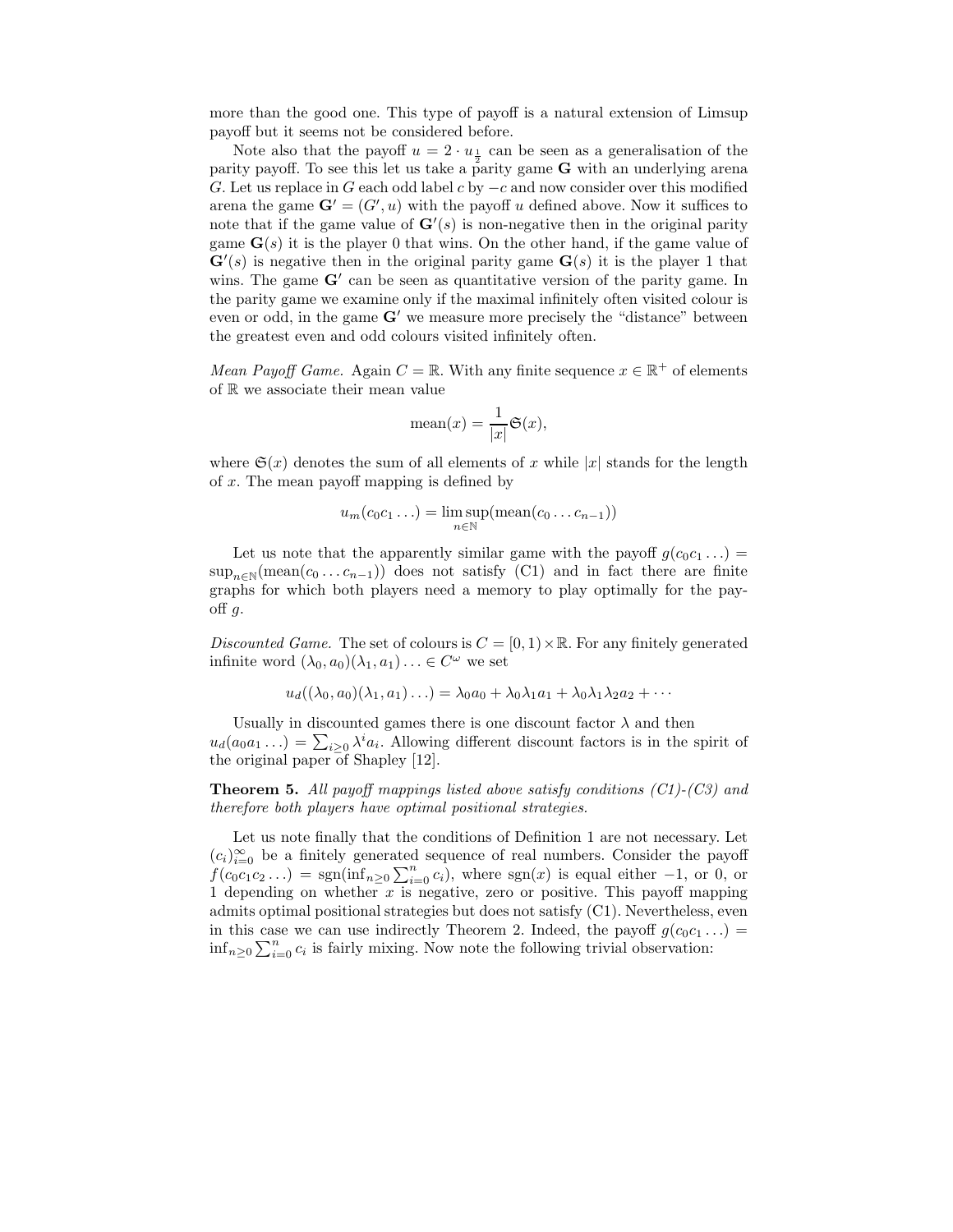more than the good one. This type of payoff is a natural extension of Limsup payoff but it seems not be considered before.

Note also that the payoff  $u = 2 \cdot u_{\frac{1}{2}}$  can be seen as a generalisation of the parity payoff. To see this let us take a parity game  $G$  with an underlying arena G. Let us replace in G each odd label c by  $-c$  and now consider over this modified arena the game  $\mathbf{G}' = (G', u)$  with the payoff u defined above. Now it suffices to note that if the game value of  $\mathbf{G}'(s)$  is non-negative then in the original parity game  $\mathbf{G}(s)$  it is the player 0 that wins. On the other hand, if the game value of  $\mathbf{G}'(s)$  is negative then in the original parity game  $\mathbf{G}(s)$  it is the player 1 that wins. The game  $G'$  can be seen as quantitative version of the parity game. In the parity game we examine only if the maximal infinitely often visited colour is even or odd, in the game  $G'$  we measure more precisely the "distance" between the greatest even and odd colours visited infinitely often.

Mean Payoff Game. Again  $C = \mathbb{R}$ . With any finite sequence  $x \in \mathbb{R}^+$  of elements of R we associate their mean value

$$
\text{mean}(x) = \frac{1}{|x|} \mathfrak{S}(x),
$$

where  $\mathfrak{S}(x)$  denotes the sum of all elements of x while |x| stands for the length of x. The mean payoff mapping is defined by

$$
u_m(c_0c_1\ldots) = \limsup_{n \in \mathbb{N}} (\operatorname{mean}(c_0 \ldots c_{n-1}))
$$

Let us note that the apparently similar game with the payoff  $g(c_0c_1 \ldots)$  =  $\sup_{n\in\mathbb{N}}(\text{mean}(c_0...c_{n-1}))$  does not satisfy (C1) and in fact there are finite graphs for which both players need a memory to play optimally for the payoff  $g$ .

Discounted Game. The set of colours is  $C = [0, 1) \times \mathbb{R}$ . For any finitely generated infinite word  $(\lambda_0, a_0)(\lambda_1, a_1) \ldots \in C^{\omega}$  we set

$$
u_d((\lambda_0, a_0)(\lambda_1, a_1)\dots) = \lambda_0 a_0 + \lambda_0 \lambda_1 a_1 + \lambda_0 \lambda_1 \lambda_2 a_2 + \dots
$$

Usually in discounted games there is one discount factor  $\lambda$  and then  $u_d(a_0a_1 \ldots) = \sum_{i \geq 0} \lambda^i a_i$ . Allowing different discount factors is in the spirit of the original paper of Shapley [12].

**Theorem 5.** All payoff mappings listed above satisfy conditions  $(C1)$ - $(C3)$  and therefore both players have optimal positional strategies.

Let us note finally that the conditions of Definition 1 are not necessary. Let  $(c_i)_{i=0}^{\infty}$  be a finitely generated sequence of real numbers. Consider the payoff  $f(c_0c_1c_2...) = \text{sgn}(\text{inf}_{n\geq 0}\sum_{i=0}^n c_i),$  where  $\text{sgn}(x)$  is equal either  $-1$ , or 0, or 1 depending on whether  $x$  is negative, zero or positive. This payoff mapping admits optimal positional strategies but does not satisfy (C1). Nevertheless, even in this case we can use indirectly Theorem 2. Indeed, the payoff  $g(c_0c_1 \ldots)$  = inf<sub>n≥0</sub>  $\sum_{i=0}^{n} c_i$  is fairly mixing. Now note the following trivial observation: